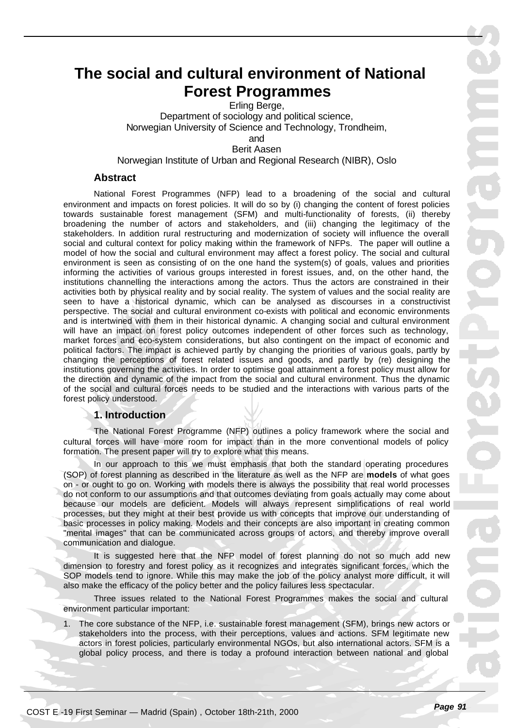# **The social and cultural environment of National Forest Programmes**

Erling Berge, Department of sociology and political science, Norwegian University of Science and Technology, Trondheim, and

Berit Aasen

Norwegian Institute of Urban and Regional Research (NIBR), Oslo

# **Abstract**

National Forest Programmes (NFP) lead to a broadening of the social and cultural environment and impacts on forest policies. It will do so by (i) changing the content of forest policies towards sustainable forest management (SFM) and multi-functionality of forests, (ii) thereby broadening the number of actors and stakeholders, and (iii) changing the legitimacy of the stakeholders. In addition rural restructuring and modernization of society will influence the overall social and cultural context for policy making within the framework of NFPs. The paper will outline a model of how the social and cultural environment may affect a forest policy. The social and cultural environment is seen as consisting of on the one hand the system(s) of goals, values and priorities informing the activities of various groups interested in forest issues, and, on the other hand, the institutions channelling the interactions among the actors. Thus the actors are constrained in their activities both by physical reality and by social reality. The system of values and the social reality are seen to have a historical dynamic, which can be analysed as discourses in a constructivist perspective. The social and cultural environment co-exists with political and economic environments and is intertwined with them in their historical dynamic. A changing social and cultural environment will have an impact on forest policy outcomes independent of other forces such as technology, market forces and eco-system considerations, but also contingent on the impact of economic and political factors. The impact is achieved partly by changing the priorities of various goals, partly by changing the perceptions of forest related issues and goods, and partly by (re) designing the institutions governing the activities. In order to optimise goal attainment a forest policy must allow for the direction and dynamic of the impact from the social and cultural environment. Thus the dynamic of the social and cultural forces needs to be studied and the interactions with various parts of the forest policy understood.

# **1. Introduction**

The National Forest Programme (NFP) outlines a policy framework where the social and cultural forces will have more room for impact than in the more conventional models of policy formation. The present paper will try to explore what this means.

In our approach to this we must emphasis that both the standard operating procedures (SOP) of forest planning as described in the literature as well as the NFP are **models** of what goes on - or ought to go on. Working with models there is always the possibility that real world processes do not conform to our assumptions and that outcomes deviating from goals actually may come about because our models are deficient. Models will always represent simplifications of real world processes, but they might at their best provide us with concepts that improve our understanding of basic processes in policy making. Models and their concepts are also important in creating common "mental images" that can be communicated across groups of actors, and thereby improve overall communication and dialogue.

It is suggested here that the NFP model of forest planning do not so much add new dimension to forestry and forest policy as it recognizes and integrates significant forces, which the SOP models tend to ignore. While this may make the job of the policy analyst more difficult, it will also make the efficacy of the policy better and the policy failures less spectacular.

Three issues related to the National Forest Programmes makes the social and cultural environment particular important:

1. The core substance of the NFP, i.e. sustainable forest management (SFM), brings new actors or stakeholders into the process, with their perceptions, values and actions. SFM legitimate new actors in forest policies, particularly environmental NGOs, but also international actors. SFM is a global policy process, and there is today a profound interaction between national and global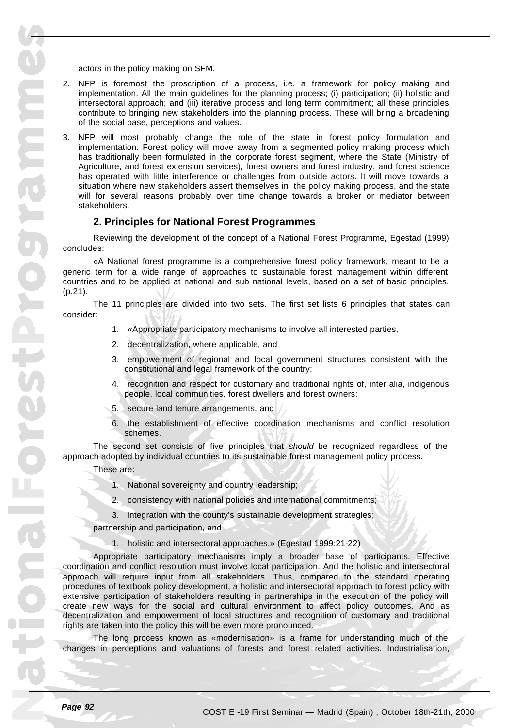actors in the policy making on SFM.

- 2. NFP is foremost the proscription of a process, i.e. a framework for policy making and implementation. All the main guidelines for the planning process; (i) participation; (ii) holistic and intersectoral approach; and (iii) iterative process and long term commitment; all these principles contribute to bringing new stakeholders into the planning process. These will bring a broadening of the social base, perceptions and values.
- 3. NFP will most probably change the role of the state in forest policy formulation and implementation. Forest policy will move away from a segmented policy making process which has traditionally been formulated in the corporate forest segment, where the State (Ministry of Agriculture, and forest extension services), forest owners and forest industry, and forest science has operated with little interference or challenges from outside actors. It will move towards a situation where new stakeholders assert themselves in the policy making process, and the state will for several reasons probably over time change towards a broker or mediator between stakeholders.

#### **2. Principles for National Forest Programmes**

Reviewing the development of the concept of a National Forest Programme, Egestad (1999) concludes:

«A National forest programme is a comprehensive forest policy framework, meant to be a generic term for a wide range of approaches to sustainable forest management within different countries and to be applied at national and sub national levels, based on a set of basic principles. (p.21).

The 11 principles are divided into two sets. The first set lists 6 principles that states can consider:

- 1. «Appropriate participatory mechanisms to involve all interested parties,
- 2. decentralization, where applicable, and
- 3. empowerment of regional and local government structures consistent with the constitutional and legal framework of the country;
- 4. recognition and respect for customary and traditional rights of, inter alia, indigenous people, local communities, forest dwellers and forest owners;
- 5. secure land tenure arrangements, and
- 6. the establishment of effective coordination mechanisms and conflict resolution schemes.

The second set consists of five principles that *should* be recognized regardless of the approach adopted by individual countries to its sustainable forest management policy process.

These are:

- 1. National sovereignty and country leadership;
- 2. consistency with national policies and international commitments;

3. integration with the county's sustainable development strategies;

partnership and participation, and

1. holistic and intersectoral approaches.» (Egestad 1999:21-22)

Appropriate participatory mechanisms imply a broader base of participants. Effective coordination and conflict resolution must involve local participation. And the holistic and intersectoral approach will require input from all stakeholders. Thus, compared to the standard operating procedures of textbook policy development, a holistic and intersectoral approach to forest policy with extensive participation of stakeholders resulting in partnerships in the execution of the policy will create new ways for the social and cultural environment to affect policy outcomes. And as decentralization and empowerment of local structures and recognition of customary and traditional rights are taken into the policy this will be even more pronounced.

The long process known as «modernisation» is a frame for understanding much of the changes in perceptions and valuations of forests and forest related activities. Industrialisation,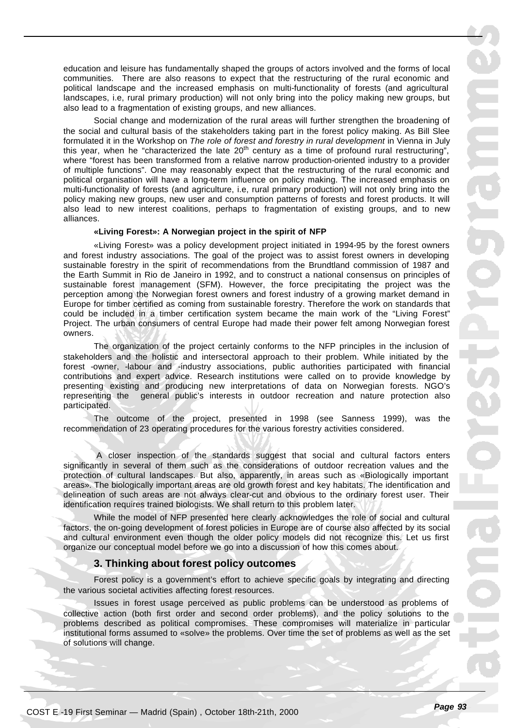education and leisure has fundamentally shaped the groups of actors involved and the forms of local communities. There are also reasons to expect that the restructuring of the rural economic and political landscape and the increased emphasis on multi-functionality of forests (and agricultural landscapes, i.e, rural primary production) will not only bring into the policy making new groups, but also lead to a fragmentation of existing groups, and new alliances.

Social change and modernization of the rural areas will further strengthen the broadening of the social and cultural basis of the stakeholders taking part in the forest policy making. As Bill Slee formulated it in the Workshop on *The role of forest and forestry in rural development* in Vienna in July this year, when he "characterized the late 20<sup>th</sup> century as a time of profound rural restructuring", where "forest has been transformed from a relative narrow production-oriented industry to a provider of multiple functions". One may reasonably expect that the restructuring of the rural economic and political organisation will have a long-term influence on policy making. The increased emphasis on multi-functionality of forests (and agriculture, i.e, rural primary production) will not only bring into the policy making new groups, new user and consumption patterns of forests and forest products. It will also lead to new interest coalitions, perhaps to fragmentation of existing groups, and to new alliances.

#### **«Living Forest»: A Norwegian project in the spirit of NFP**

«Living Forest» was a policy development project initiated in 1994-95 by the forest owners and forest industry associations. The goal of the project was to assist forest owners in developing sustainable forestry in the spirit of recommendations from the Brundtland commission of 1987 and the Earth Summit in Rio de Janeiro in 1992, and to construct a national consensus on principles of sustainable forest management (SFM). However, the force precipitating the project was the perception among the Norwegian forest owners and forest industry of a growing market demand in Europe for timber certified as coming from sustainable forestry. Therefore the work on standards that could be included in a timber certification system became the main work of the "Living Forest" Project. The urban consumers of central Europe had made their power felt among Norwegian forest owners.

The organization of the project certainly conforms to the NFP principles in the inclusion of stakeholders and the holistic and intersectoral approach to their problem. While initiated by the forest -owner, -labour and -industry associations, public authorities participated with financial contributions and expert advice. Research institutions were called on to provide knowledge by presenting existing and producing new interpretations of data on Norwegian forests. NGO's representing the general public's interests in outdoor recreation and nature protection also participated.

The outcome of the project, presented in 1998 (see Sanness 1999), was the recommendation of 23 operating procedures for the various forestry activities considered.

 A closer inspection of the standards suggest that social and cultural factors enters significantly in several of them such as the considerations of outdoor recreation values and the protection of cultural landscapes. But also, apparently, in areas such as «Biologically important areas». The biologically important areas are old growth forest and key habitats. The identification and delineation of such areas are not always clear-cut and obvious to the ordinary forest user. Their identification requires trained biologists. We shall return to this problem later.

While the model of NFP presented here clearly acknowledges the role of social and cultural factors, the on-going development of forest policies in Europe are of course also affected by its social and cultural environment even though the older policy models did not recognize this. Let us first organize our conceptual model before we go into a discussion of how this comes about.

#### **3. Thinking about forest policy outcomes**

Forest policy is a government's effort to achieve specific goals by integrating and directing the various societal activities affecting forest resources.

Issues in forest usage perceived as public problems can be understood as problems of collective action (both first order and second order problems), and the policy solutions to the problems described as political compromises. These compromises will materialize in particular institutional forms assumed to «solve» the problems. Over time the set of problems as well as the set of solutions will change.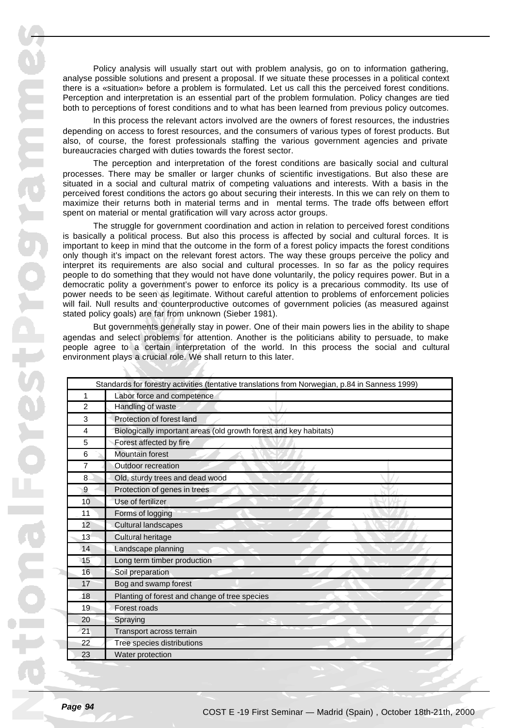Policy analysis will usually start out with problem analysis, go on to information gathering, analyse possible solutions and present a proposal. If we situate these processes in a political context there is a «situation» before a problem is formulated. Let us call this the perceived forest conditions. Perception and interpretation is an essential part of the problem formulation. Policy changes are tied both to perceptions of forest conditions and to what has been learned from previous policy outcomes.

In this process the relevant actors involved are the owners of forest resources, the industries depending on access to forest resources, and the consumers of various types of forest products. But also, of course, the forest professionals staffing the various government agencies and private bureaucracies charged with duties towards the forest sector.

The perception and interpretation of the forest conditions are basically social and cultural processes. There may be smaller or larger chunks of scientific investigations. But also these are situated in a social and cultural matrix of competing valuations and interests. With a basis in the perceived forest conditions the actors go about securing their interests. In this we can rely on them to maximize their returns both in material terms and in mental terms. The trade offs between effort spent on material or mental gratification will vary across actor groups.

The struggle for government coordination and action in relation to perceived forest conditions is basically a political process. But also this process is affected by social and cultural forces. It is important to keep in mind that the outcome in the form of a forest policy impacts the forest conditions only though it's impact on the relevant forest actors. The way these groups perceive the policy and interpret its requirements are also social and cultural processes. In so far as the policy requires people to do something that they would not have done voluntarily, the policy requires power. But in a democratic polity a government's power to enforce its policy is a precarious commodity. Its use of power needs to be seen as legitimate. Without careful attention to problems of enforcement policies will fail. Null results and counterproductive outcomes of government policies (as measured against stated policy goals) are far from unknown (Sieber 1981).

But governments generally stay in power. One of their main powers lies in the ability to shape agendas and select problems for attention. Another is the politicians ability to persuade, to make people agree to a certain interpretation of the world. In this process the social and cultural environment plays a crucial role. We shall return to this later.

| Standards for forestry activities (tentative translations from Norwegian, p.84 in Sanness 1999) |                                                                   |
|-------------------------------------------------------------------------------------------------|-------------------------------------------------------------------|
| 1                                                                                               | Labor force and competence                                        |
| 2                                                                                               | Handling of waste                                                 |
| 3                                                                                               | Protection of forest land                                         |
| 4                                                                                               | Biologically important areas (old growth forest and key habitats) |
| 5                                                                                               | Forest affected by fire                                           |
| 6                                                                                               | <b>Mountain forest</b>                                            |
| 7                                                                                               | Outdoor recreation                                                |
| 8                                                                                               | Old, sturdy trees and dead wood                                   |
| 9                                                                                               | Protection of genes in trees                                      |
| 10                                                                                              | Use of fertilizer                                                 |
| 11                                                                                              | Forms of logging                                                  |
| 12 <sup>2</sup>                                                                                 | <b>Cultural landscapes</b>                                        |
| 13                                                                                              | Cultural heritage                                                 |
| 14                                                                                              | Landscape planning                                                |
| 15                                                                                              | Long term timber production                                       |
| 16                                                                                              | Soil preparation                                                  |
| 17                                                                                              | Bog and swamp forest                                              |
| 18                                                                                              | Planting of forest and change of tree species                     |
| 19                                                                                              | Forest roads                                                      |
| 20                                                                                              | Spraying                                                          |
| 21                                                                                              | Transport across terrain                                          |
| 22                                                                                              | Tree species distributions                                        |
| 23                                                                                              | Water protection                                                  |
|                                                                                                 |                                                                   |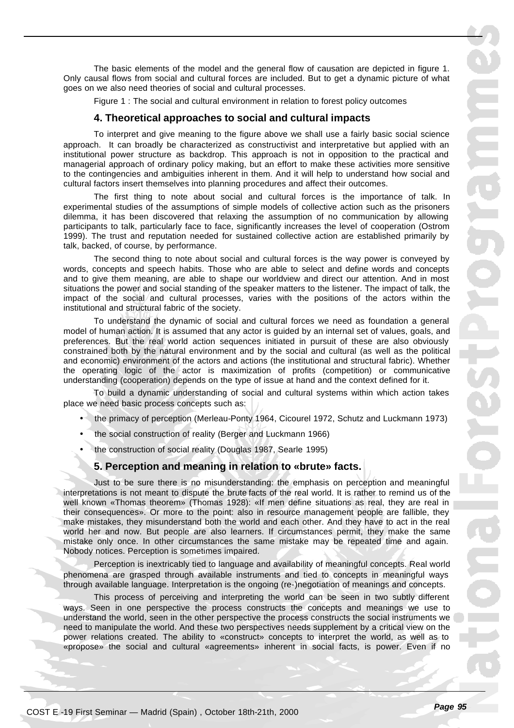The basic elements of the model and the general flow of causation are depicted in figure 1. Only causal flows from social and cultural forces are included. But to get a dynamic picture of what goes on we also need theories of social and cultural processes.

Figure 1 : The social and cultural environment in relation to forest policy outcomes

#### **4. Theoretical approaches to social and cultural impacts**

To interpret and give meaning to the figure above we shall use a fairly basic social science approach. It can broadly be characterized as constructivist and interpretative but applied with an institutional power structure as backdrop. This approach is not in opposition to the practical and managerial approach of ordinary policy making, but an effort to make these activities more sensitive to the contingencies and ambiguities inherent in them. And it will help to understand how social and cultural factors insert themselves into planning procedures and affect their outcomes.

The first thing to note about social and cultural forces is the importance of talk. In experimental studies of the assumptions of simple models of collective action such as the prisoners dilemma, it has been discovered that relaxing the assumption of no communication by allowing participants to talk, particularly face to face, significantly increases the level of cooperation (Ostrom 1999). The trust and reputation needed for sustained collective action are established primarily by talk, backed, of course, by performance.

The second thing to note about social and cultural forces is the way power is conveyed by words, concepts and speech habits. Those who are able to select and define words and concepts and to give them meaning, are able to shape our worldview and direct our attention. And in most situations the power and social standing of the speaker matters to the listener. The impact of talk, the impact of the social and cultural processes, varies with the positions of the actors within the institutional and structural fabric of the society.

To understand the dynamic of social and cultural forces we need as foundation a general model of human action. It is assumed that any actor is guided by an internal set of values, goals, and preferences. But the real world action sequences initiated in pursuit of these are also obviously constrained both by the natural environment and by the social and cultural (as well as the political and economic) environment of the actors and actions (the institutional and structural fabric). Whether the operating logic of the actor is maximization of profits (competition) or communicative understanding (cooperation) depends on the type of issue at hand and the context defined for it.

To build a dynamic understanding of social and cultural systems within which action takes place we need basic process concepts such as:

- the primacy of perception (Merleau-Ponty 1964, Cicourel 1972, Schutz and Luckmann 1973)
- the social construction of reality (Berger and Luckmann 1966)
- the construction of social reality (Douglas 1987, Searle 1995)

#### **5. Perception and meaning in relation to «brute» facts.**

Just to be sure there is no misunderstanding: the emphasis on perception and meaningful interpretations is not meant to dispute the brute facts of the real world. It is rather to remind us of the well known «Thomas theorem» (Thomas 1928): «If men define situations as real, they are real in their consequences». Or more to the point: also in resource management people are fallible, they make mistakes, they misunderstand both the world and each other. And they have to act in the real world her and now. But people are also learners. If circumstances permit, they make the same mistake only once. In other circumstances the same mistake may be repeated time and again. Nobody notices. Perception is sometimes impaired.

Perception is inextricably tied to language and availability of meaningful concepts. Real world phenomena are grasped through available instruments and tied to concepts in meaningful ways through available language. Interpretation is the ongoing (re-)negotiation of meanings and concepts.

This process of perceiving and interpreting the world can be seen in two subtly different ways. Seen in one perspective the process constructs the concepts and meanings we use to understand the world, seen in the other perspective the process constructs the social instruments we need to manipulate the world. And these two perspectives needs supplement by a critical view on the power relations created. The ability to «construct» concepts to interpret the world, as well as to «propose» the social and cultural «agreements» inherent in social facts, is power. Even if no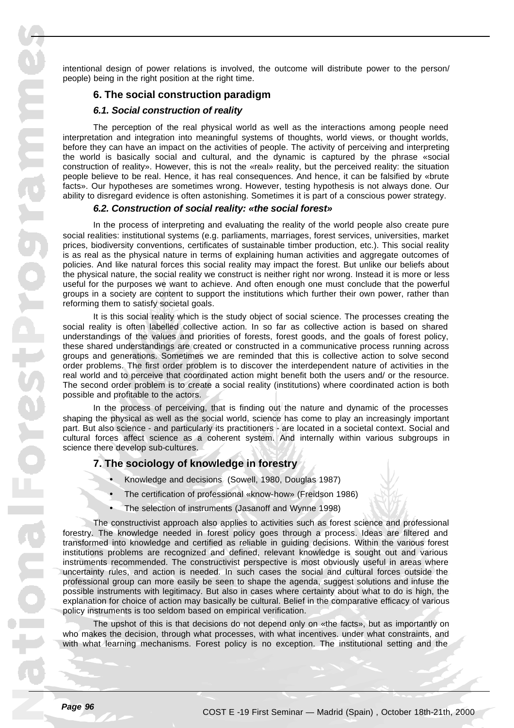intentional design of power relations is involved, the outcome will distribute power to the person/ people) being in the right position at the right time.

# **6. The social construction paradigm**

# *6.1. Social construction of reality*

The perception of the real physical world as well as the interactions among people need interpretation and integration into meaningful systems of thoughts, world views, or thought worlds, before they can have an impact on the activities of people. The activity of perceiving and interpreting the world is basically social and cultural, and the dynamic is captured by the phrase «social construction of reality». However, this is not the «real» reality, but the perceived reality: the situation people believe to be real. Hence, it has real consequences. And hence, it can be falsified by «brute facts». Our hypotheses are sometimes wrong. However, testing hypothesis is not always done. Our ability to disregard evidence is often astonishing. Sometimes it is part of a conscious power strategy.

#### *6.2. Construction of social reality: «the social forest»*

In the process of interpreting and evaluating the reality of the world people also create pure social realities: institutional systems (e.g. parliaments, marriages, forest services, universities, market prices, biodiversity conventions, certificates of sustainable timber production, etc.). This social reality is as real as the physical nature in terms of explaining human activities and aggregate outcomes of policies. And like natural forces this social reality may impact the forest. But unlike our beliefs about the physical nature, the social reality we construct is neither right nor wrong. Instead it is more or less useful for the purposes we want to achieve. And often enough one must conclude that the powerful groups in a society are content to support the institutions which further their own power, rather than reforming them to satisfy societal goals.

It is this social reality which is the study object of social science. The processes creating the social reality is often labelled collective action. In so far as collective action is based on shared understandings of the values and priorities of forests, forest goods, and the goals of forest policy, these shared understandings are created or constructed in a communicative process running across groups and generations. Sometimes we are reminded that this is collective action to solve second order problems. The first order problem is to discover the interdependent nature of activities in the real world and to perceive that coordinated action might benefit both the users and/ or the resource. The second order problem is to create a social reality (institutions) where coordinated action is both possible and profitable to the actors.

In the process of perceiving, that is finding out the nature and dynamic of the processes shaping the physical as well as the social world, science has come to play an increasingly important part. But also science - and particularly its practitioners - are located in a societal context. Social and cultural forces affect science as a coherent system. And internally within various subgroups in science there develop sub-cultures.

# **7. The sociology of knowledge in forestry**

- Knowledge and decisions (Sowell, 1980, Douglas 1987)
- The certification of professional «know-how» (Freidson 1986)
- The selection of instruments (Jasanoff and Wynne 1998)

The constructivist approach also applies to activities such as forest science and professional forestry. The knowledge needed in forest policy goes through a process. Ideas are filtered and transformed into knowledge and certified as reliable in guiding decisions. Within the various forest institutions problems are recognized and defined, relevant knowledge is sought out and various instruments recommended. The constructivist perspective is most obviously useful in areas where uncertainty rules, and action is needed. In such cases the social and cultural forces outside the professional group can more easily be seen to shape the agenda, suggest solutions and infuse the possible instruments with legitimacy. But also in cases where certainty about what to do is high, the explanation for choice of action may basically be cultural. Belief in the comparative efficacy of various policy instruments is too seldom based on empirical verification.

The upshot of this is that decisions do not depend only on «the facts», but as importantly on who makes the decision, through what processes, with what incentives. under what constraints, and with what learning mechanisms. Forest policy is no exception. The institutional setting and the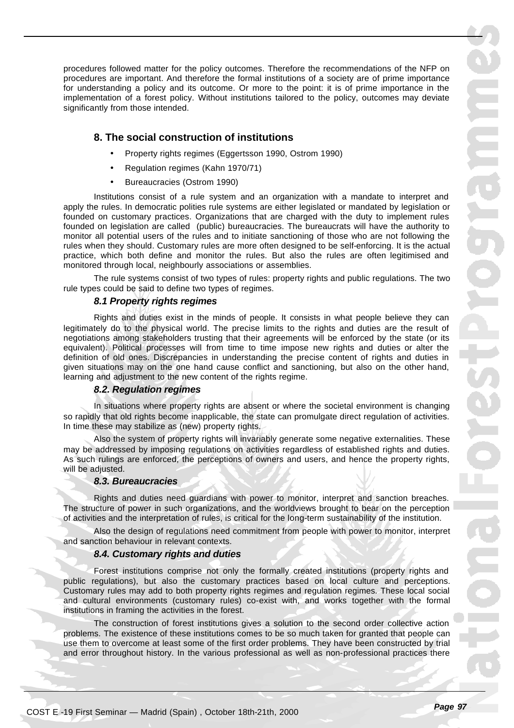procedures followed matter for the policy outcomes. Therefore the recommendations of the NFP on procedures are important. And therefore the formal institutions of a society are of prime importance for understanding a policy and its outcome. Or more to the point: it is of prime importance in the implementation of a forest policy. Without institutions tailored to the policy, outcomes may deviate significantly from those intended.

# **8. The social construction of institutions**

- Property rights regimes (Eggertsson 1990, Ostrom 1990)
- Regulation regimes (Kahn 1970/71)
- Bureaucracies (Ostrom 1990)

Institutions consist of a rule system and an organization with a mandate to interpret and apply the rules. In democratic polities rule systems are either legislated or mandated by legislation or founded on customary practices. Organizations that are charged with the duty to implement rules founded on legislation are called (public) bureaucracies. The bureaucrats will have the authority to monitor all potential users of the rules and to initiate sanctioning of those who are not following the rules when they should. Customary rules are more often designed to be self-enforcing. It is the actual practice, which both define and monitor the rules. But also the rules are often legitimised and monitored through local, neighbourly associations or assemblies.

The rule systems consist of two types of rules: property rights and public regulations. The two rule types could be said to define two types of regimes.

## *8.1 Property rights regimes*

Rights and duties exist in the minds of people. It consists in what people believe they can legitimately do to the physical world. The precise limits to the rights and duties are the result of negotiations among stakeholders trusting that their agreements will be enforced by the state (or its equivalent). Political processes will from time to time impose new rights and duties or alter the definition of old ones. Discrepancies in understanding the precise content of rights and duties in given situations may on the one hand cause conflict and sanctioning, but also on the other hand, learning and adjustment to the new content of the rights regime.

#### *8.2. Regulation regimes*

In situations where property rights are absent or where the societal environment is changing so rapidly that old rights become inapplicable, the state can promulgate direct regulation of activities. In time these may stabilize as (new) property rights.

Also the system of property rights will invariably generate some negative externalities. These may be addressed by imposing regulations on activities regardless of established rights and duties. As such rulings are enforced, the perceptions of owners and users, and hence the property rights, will be adjusted.

#### *8.3. Bureaucracies*

Rights and duties need guardians with power to monitor, interpret and sanction breaches. The structure of power in such organizations, and the worldviews brought to bear on the perception of activities and the interpretation of rules, is critical for the long-term sustainability of the institution.

Also the design of regulations need commitment from people with power to monitor, interpret and sanction behaviour in relevant contexts.

#### *8.4. Customary rights and duties*

Forest institutions comprise not only the formally created institutions (property rights and public regulations), but also the customary practices based on local culture and perceptions. Customary rules may add to both property rights regimes and regulation regimes. These local social and cultural environments (customary rules) co-exist with, and works together with the formal institutions in framing the activities in the forest.

The construction of forest institutions gives a solution to the second order collective action problems. The existence of these institutions comes to be so much taken for granted that people can use them to overcome at least some of the first order problems. They have been constructed by trial and error throughout history. In the various professional as well as non-professional practices there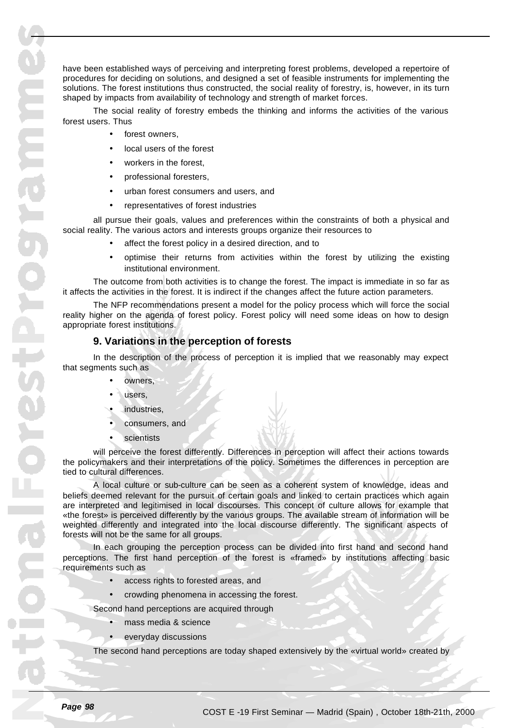have been established ways of perceiving and interpreting forest problems, developed a repertoire of procedures for deciding on solutions, and designed a set of feasible instruments for implementing the solutions. The forest institutions thus constructed, the social reality of forestry, is, however, in its turn shaped by impacts from availability of technology and strength of market forces.

The social reality of forestry embeds the thinking and informs the activities of the various forest users. Thus

- forest owners.
- local users of the forest
- workers in the forest.
- professional foresters,
- urban forest consumers and users, and
- representatives of forest industries

all pursue their goals, values and preferences within the constraints of both a physical and social reality. The various actors and interests groups organize their resources to

- affect the forest policy in a desired direction, and to
- optimise their returns from activities within the forest by utilizing the existing institutional environment.

The outcome from both activities is to change the forest. The impact is immediate in so far as it affects the activities in the forest. It is indirect if the changes affect the future action parameters.

The NFP recommendations present a model for the policy process which will force the social reality higher on the agenda of forest policy. Forest policy will need some ideas on how to design appropriate forest institutions.

# **9. Variations in the perception of forests**

In the description of the process of perception it is implied that we reasonably may expect that segments such as

- owners,
- users,
- industries,
- consumers, and
- **scientists**

will perceive the forest differently. Differences in perception will affect their actions towards the policymakers and their interpretations of the policy. Sometimes the differences in perception are tied to cultural differences.

A local culture or sub-culture can be seen as a coherent system of knowledge, ideas and beliefs deemed relevant for the pursuit of certain goals and linked to certain practices which again are interpreted and legitimised in local discourses. This concept of culture allows for example that «the forest» is perceived differently by the various groups. The available stream of information will be weighted differently and integrated into the local discourse differently. The significant aspects of forests will not be the same for all groups.

In each grouping the perception process can be divided into first hand and second hand perceptions. The first hand perception of the forest is «framed» by institutions affecting basic requirements such as

- access rights to forested areas, and
- crowding phenomena in accessing the forest.

Second hand perceptions are acquired through

- mass media & science
- everyday discussions

The second hand perceptions are today shaped extensively by the «virtual world» created by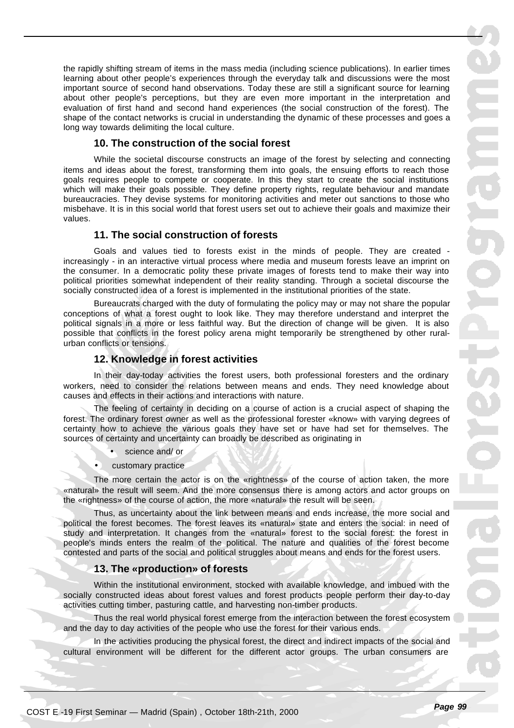the rapidly shifting stream of items in the mass media (including science publications). In earlier times learning about other people's experiences through the everyday talk and discussions were the most important source of second hand observations. Today these are still a significant source for learning about other people's perceptions, but they are even more important in the interpretation and evaluation of first hand and second hand experiences (the social construction of the forest). The shape of the contact networks is crucial in understanding the dynamic of these processes and goes a long way towards delimiting the local culture.

# **10. The construction of the social forest**

While the societal discourse constructs an image of the forest by selecting and connecting items and ideas about the forest, transforming them into goals, the ensuing efforts to reach those goals requires people to compete or cooperate. In this they start to create the social institutions which will make their goals possible. They define property rights, regulate behaviour and mandate bureaucracies. They devise systems for monitoring activities and meter out sanctions to those who misbehave. It is in this social world that forest users set out to achieve their goals and maximize their values.

# **11. The social construction of forests**

Goals and values tied to forests exist in the minds of people. They are created increasingly - in an interactive virtual process where media and museum forests leave an imprint on the consumer. In a democratic polity these private images of forests tend to make their way into political priorities somewhat independent of their reality standing. Through a societal discourse the socially constructed idea of a forest is implemented in the institutional priorities of the state.

Bureaucrats charged with the duty of formulating the policy may or may not share the popular conceptions of what a forest ought to look like. They may therefore understand and interpret the political signals in a more or less faithful way. But the direction of change will be given. It is also possible that conflicts in the forest policy arena might temporarily be strengthened by other ruralurban conflicts or tensions.

# **12. Knowledge in forest activities**

In their day-today activities the forest users, both professional foresters and the ordinary workers, need to consider the relations between means and ends. They need knowledge about causes and effects in their actions and interactions with nature.

The feeling of certainty in deciding on a course of action is a crucial aspect of shaping the forest. The ordinary forest owner as well as the professional forester «know» with varying degrees of certainty how to achieve the various goals they have set or have had set for themselves. The sources of certainty and uncertainty can broadly be described as originating in

- science and/ or
- customary practice

The more certain the actor is on the «rightness» of the course of action taken, the more «natural» the result will seem. And the more consensus there is among actors and actor groups on the «rightness» of the course of action, the more «natural» the result will be seen.

Thus, as uncertainty about the link between means and ends increase, the more social and political the forest becomes. The forest leaves its «natural» state and enters the social: in need of study and interpretation. It changes from the «natural» forest to the social forest: the forest in people's minds enters the realm of the political. The nature and qualities of the forest become contested and parts of the social and political struggles about means and ends for the forest users.

# **13. The «production» of forests**

Within the institutional environment, stocked with available knowledge, and imbued with the socially constructed ideas about forest values and forest products people perform their day-to-day activities cutting timber, pasturing cattle, and harvesting non-timber products.

Thus the real world physical forest emerge from the interaction between the forest ecosystem and the day to day activities of the people who use the forest for their various ends.

In the activities producing the physical forest, the direct and indirect impacts of the social and cultural environment will be different for the different actor groups. The urban consumers are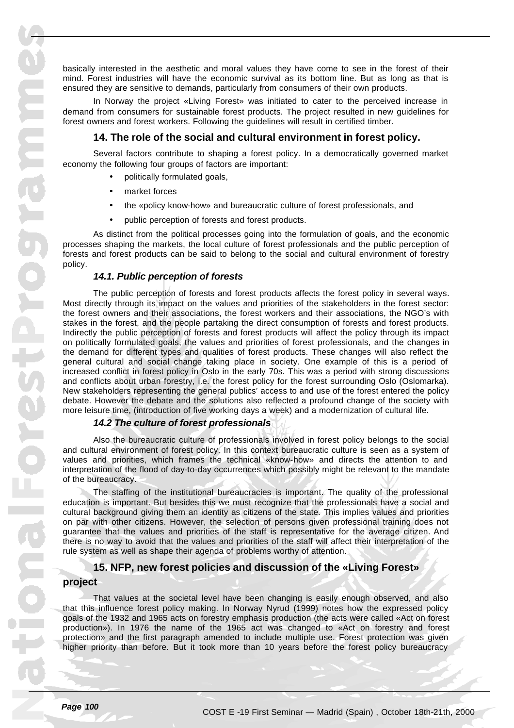basically interested in the aesthetic and moral values they have come to see in the forest of their mind. Forest industries will have the economic survival as its bottom line. But as long as that is ensured they are sensitive to demands, particularly from consumers of their own products.

In Norway the project «Living Forest» was initiated to cater to the perceived increase in demand from consumers for sustainable forest products. The project resulted in new guidelines for forest owners and forest workers. Following the guidelines will result in certified timber.

#### **14. The role of the social and cultural environment in forest policy.**

Several factors contribute to shaping a forest policy. In a democratically governed market economy the following four groups of factors are important:

- politically formulated goals,
- market forces
- the «policy know-how» and bureaucratic culture of forest professionals, and
- public perception of forests and forest products.

As distinct from the political processes going into the formulation of goals, and the economic processes shaping the markets, the local culture of forest professionals and the public perception of forests and forest products can be said to belong to the social and cultural environment of forestry policy.

#### *14.1. Public perception of forests*

The public perception of forests and forest products affects the forest policy in several ways. Most directly through its impact on the values and priorities of the stakeholders in the forest sector: the forest owners and their associations, the forest workers and their associations, the NGO's with stakes in the forest, and the people partaking the direct consumption of forests and forest products. Indirectly the public perception of forests and forest products will affect the policy through its impact on politically formulated goals, the values and priorities of forest professionals, and the changes in the demand for different types and qualities of forest products. These changes will also reflect the general cultural and social change taking place in society. One example of this is a period of increased conflict in forest policy in Oslo in the early 70s. This was a period with strong discussions and conflicts about urban forestry, i.e. the forest policy for the forest surrounding Oslo (Oslomarka). New stakeholders representing the general publics' access to and use of the forest entered the policy debate. However the debate and the solutions also reflected a profound change of the society with more leisure time, (introduction of five working days a week) and a modernization of cultural life.

# *14.2 The culture of forest professionals*

Also the bureaucratic culture of professionals involved in forest policy belongs to the social and cultural environment of forest policy. In this context bureaucratic culture is seen as a system of values and priorities, which frames the technical «know-how» and directs the attention to and interpretation of the flood of day-to-day occurrences which possibly might be relevant to the mandate of the bureaucracy.

The staffing of the institutional bureaucracies is important. The quality of the professional education is important. But besides this we must recognize that the professionals have a social and cultural background giving them an identity as citizens of the state. This implies values and priorities on par with other citizens. However, the selection of persons given professional training does not guarantee that the values and priorities of the staff is representative for the average citizen. And there is no way to avoid that the values and priorities of the staff will affect their interpretation of the rule system as well as shape their agenda of problems worthy of attention.

# **15. NFP, new forest policies and discussion of the «Living Forest» project**

That values at the societal level have been changing is easily enough observed, and also that this influence forest policy making. In Norway Nyrud (1999) notes how the expressed policy goals of the 1932 and 1965 acts on forestry emphasis production (the acts were called «Act on forest production»). In 1976 the name of the 1965 act was changed to «Act on forestry and forest protection» and the first paragraph amended to include multiple use. Forest protection was given higher priority than before. But it took more than 10 years before the forest policy bureaucracy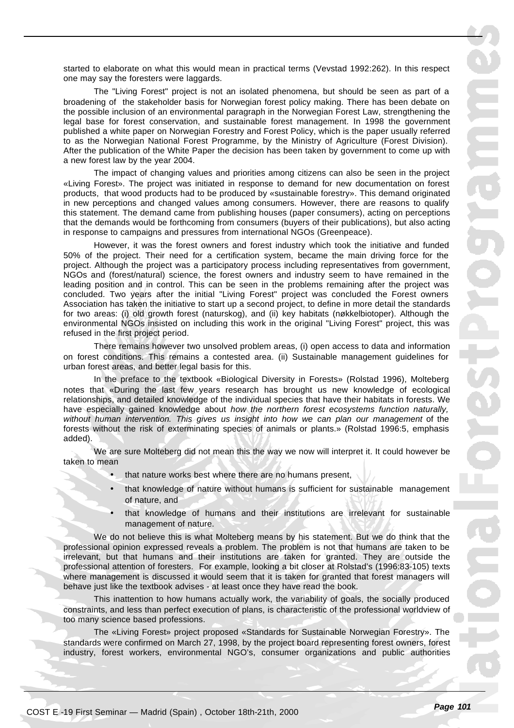started to elaborate on what this would mean in practical terms (Vevstad 1992:262). In this respect one may say the foresters were laggards.

The "Living Forest" project is not an isolated phenomena, but should be seen as part of a broadening of the stakeholder basis for Norwegian forest policy making. There has been debate on the possible inclusion of an environmental paragraph in the Norwegian Forest Law, strengthening the legal base for forest conservation, and sustainable forest management. In 1998 the government published a white paper on Norwegian Forestry and Forest Policy, which is the paper usually referred to as the Norwegian National Forest Programme, by the Ministry of Agriculture (Forest Division). After the publication of the White Paper the decision has been taken by government to come up with a new forest law by the year 2004.

The impact of changing values and priorities among citizens can also be seen in the project «Living Forest». The project was initiated in response to demand for new documentation on forest products, that wood products had to be produced by «sustainable forestry». This demand originated in new perceptions and changed values among consumers. However, there are reasons to qualify this statement. The demand came from publishing houses (paper consumers), acting on perceptions that the demands would be forthcoming from consumers (buyers of their publications), but also acting in response to campaigns and pressures from international NGOs (Greenpeace).

However, it was the forest owners and forest industry which took the initiative and funded 50% of the project. Their need for a certification system, became the main driving force for the project. Although the project was a participatory process including representatives from government, NGOs and (forest/natural) science, the forest owners and industry seem to have remained in the leading position and in control. This can be seen in the problems remaining after the project was concluded. Two years after the initial "Living Forest" project was concluded the Forest owners Association has taken the initiative to start up a second project, to define in more detail the standards for two areas: (i) old growth forest (naturskog), and (ii) key habitats (nøkkelbiotoper). Although the environmental NGOs insisted on including this work in the original "Living Forest" project, this was refused in the first project period.

There remains however two unsolved problem areas, (i) open access to data and information on forest conditions. This remains a contested area. (ii) Sustainable management guidelines for urban forest areas, and better legal basis for this.

In the preface to the textbook «Biological Diversity in Forests» (Rolstad 1996), Molteberg notes that «During the last few years research has brought us new knowledge of ecological relationships, and detailed knowledge of the individual species that have their habitats in forests. We have especially gained knowledge about *how the northern forest ecosystems function naturally, without human intervention. This gives us insight into how we can plan our management* of the forests without the risk of exterminating species of animals or plants.» (Rolstad 1996:5, emphasis added).

We are sure Molteberg did not mean this the way we now will interpret it. It could however be taken to mean

- that nature works best where there are no humans present,
- that knowledge of nature without humans is sufficient for sustainable management of nature, and
- that knowledge of humans and their institutions are irrelevant for sustainable management of nature.

We do not believe this is what Molteberg means by his statement. But we do think that the professional opinion expressed reveals a problem. The problem is not that humans are taken to be irrelevant, but that humans and their institutions are taken for granted. They are outside the professional attention of foresters. For example, looking a bit closer at Rolstad's (1996:83-105) texts where management is discussed it would seem that it is taken for granted that forest managers will behave just like the textbook advises - at least once they have read the book.

This inattention to how humans actually work, the variability of goals, the socially produced constraints, and less than perfect execution of plans, is characteristic of the professional worldview of too many science based professions.

The «Living Forest» project proposed «Standards for Sustainable Norwegian Forestry». The standards were confirmed on March 27, 1998, by the project board representing forest owners, forest industry, forest workers, environmental NGO's, consumer organizations and public authorities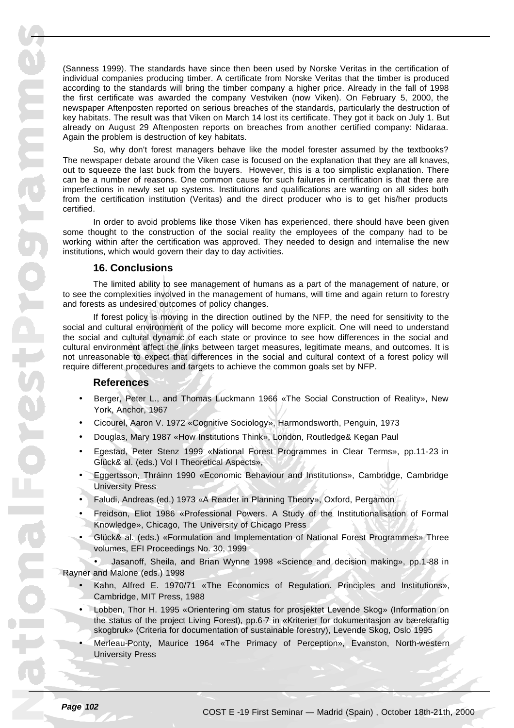maneareschardsanam

(Sanness 1999). The standards have since then been used by Norske Veritas in the certification of individual companies producing timber. A certificate from Norske Veritas that the timber is produced according to the standards will bring the timber company a higher price. Already in the fall of 1998 the first certificate was awarded the company Vestviken (now Viken). On February 5, 2000, the newspaper Aftenposten reported on serious breaches of the standards, particularly the destruction of key habitats. The result was that Viken on March 14 lost its certificate. They got it back on July 1. But already on August 29 Aftenposten reports on breaches from another certified company: Nidaraa. Again the problem is destruction of key habitats.

So, why don't forest managers behave like the model forester assumed by the textbooks? The newspaper debate around the Viken case is focused on the explanation that they are all knaves, out to squeeze the last buck from the buyers. However, this is a too simplistic explanation. There can be a number of reasons. One common cause for such failures in certification is that there are imperfections in newly set up systems. Institutions and qualifications are wanting on all sides both from the certification institution (Veritas) and the direct producer who is to get his/her products certified.

In order to avoid problems like those Viken has experienced, there should have been given some thought to the construction of the social reality the employees of the company had to be working within after the certification was approved. They needed to design and internalise the new institutions, which would govern their day to day activities.

# **16. Conclusions**

The limited ability to see management of humans as a part of the management of nature, or to see the complexities involved in the management of humans, will time and again return to forestry and forests as undesired outcomes of policy changes.

If forest policy is moving in the direction outlined by the NFP, the need for sensitivity to the social and cultural environment of the policy will become more explicit. One will need to understand the social and cultural dynamic of each state or province to see how differences in the social and cultural environment affect the links between target measures, legitimate means, and outcomes. It is not unreasonable to expect that differences in the social and cultural context of a forest policy will require different procedures and targets to achieve the common goals set by NFP.

# **References**

- Berger, Peter L., and Thomas Luckmann 1966 «The Social Construction of Reality», New York, Anchor, 1967
- Cicourel, Aaron V. 1972 «Cognitive Sociology», Harmondsworth, Penguin, 1973
- Douglas, Mary 1987 «How Institutions Think», London, Routledge& Kegan Paul
- Egestad, Peter Stenz 1999 «National Forest Programmes in Clear Terms», pp.11-23 in Glück& al. (eds.) Vol I Theoretical Aspects»,
- Eggertsson, Thráinn 1990 «Economic Behaviour and Institutions», Cambridge, Cambridge University Press
- Faludi, Andreas (ed.) 1973 «A Reader in Planning Theory», Oxford, Pergamon
- Freidson, Eliot 1986 «Professional Powers. A Study of the Institutionalisation of Formal Knowledge», Chicago, The University of Chicago Press
- Glück& al. (eds.) «Formulation and Implementation of National Forest Programmes» Three volumes, EFI Proceedings No. 30, 1999

• Jasanoff, Sheila, and Brian Wynne 1998 «Science and decision making», pp.1-88 in Rayner and Malone (eds.) 1998

- Kahn, Alfred E. 1970/71 «The Economics of Regulation. Principles and Institutions», Cambridge, MIT Press, 1988
- Lobben, Thor H. 1995 «Orientering om status for prosjektet Levende Skog» (Information on the status of the project Living Forest), pp.6-7 in «Kriterier for dokumentasjon av bærekraftig skogbruk» (Criteria for documentation of sustainable forestry), Levende Skog, Oslo 1995
- Merleau-Ponty, Maurice 1964 «The Primacy of Perception», Evanston, North-western University Press